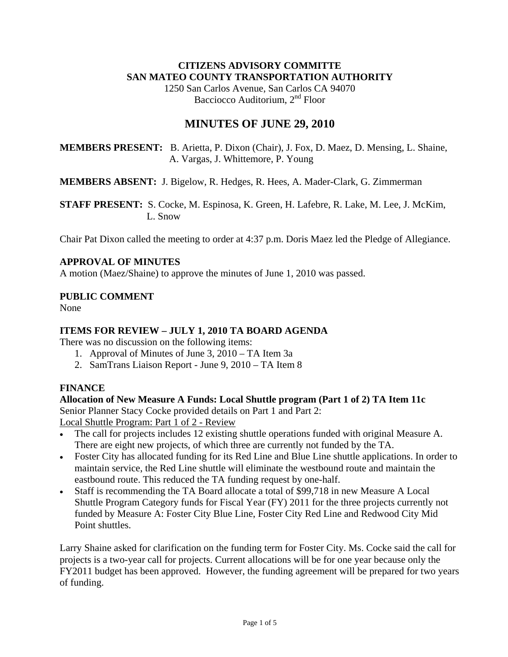### **CITIZENS ADVISORY COMMITTE SAN MATEO COUNTY TRANSPORTATION AUTHORITY**

1250 San Carlos Avenue, San Carlos CA 94070 Bacciocco Auditorium, 2<sup>nd</sup> Floor

# **MINUTES OF JUNE 29, 2010**

**MEMBERS PRESENT:** B. Arietta, P. Dixon (Chair), J. Fox, D. Maez, D. Mensing, L. Shaine, A. Vargas, J. Whittemore, P. Young

**MEMBERS ABSENT:** J. Bigelow, R. Hedges, R. Hees, A. Mader-Clark, G. Zimmerman

**STAFF PRESENT:** S. Cocke, M. Espinosa, K. Green, H. Lafebre, R. Lake, M. Lee, J. McKim, L. Snow

Chair Pat Dixon called the meeting to order at 4:37 p.m. Doris Maez led the Pledge of Allegiance.

# **APPROVAL OF MINUTES**

A motion (Maez/Shaine) to approve the minutes of June 1, 2010 was passed.

### **PUBLIC COMMENT**

None

## **ITEMS FOR REVIEW – JULY 1, 2010 TA BOARD AGENDA**

There was no discussion on the following items:

- 1. Approval of Minutes of June 3, 2010 TA Item 3a
- 2. SamTrans Liaison Report June 9, 2010 TA Item 8

## **FINANCE**

## **Allocation of New Measure A Funds: Local Shuttle program (Part 1 of 2) TA Item 11c**

Senior Planner Stacy Cocke provided details on Part 1 and Part 2: Local Shuttle Program: Part 1 of 2 - Review

- The call for projects includes 12 existing shuttle operations funded with original Measure A. There are eight new projects, of which three are currently not funded by the TA.
- Foster City has allocated funding for its Red Line and Blue Line shuttle applications. In order to maintain service, the Red Line shuttle will eliminate the westbound route and maintain the eastbound route. This reduced the TA funding request by one-half.
- Staff is recommending the TA Board allocate a total of \$99,718 in new Measure A Local Shuttle Program Category funds for Fiscal Year (FY) 2011 for the three projects currently not funded by Measure A: Foster City Blue Line, Foster City Red Line and Redwood City Mid Point shuttles.

Larry Shaine asked for clarification on the funding term for Foster City. Ms. Cocke said the call for projects is a two-year call for projects. Current allocations will be for one year because only the FY2011 budget has been approved. However, the funding agreement will be prepared for two years of funding.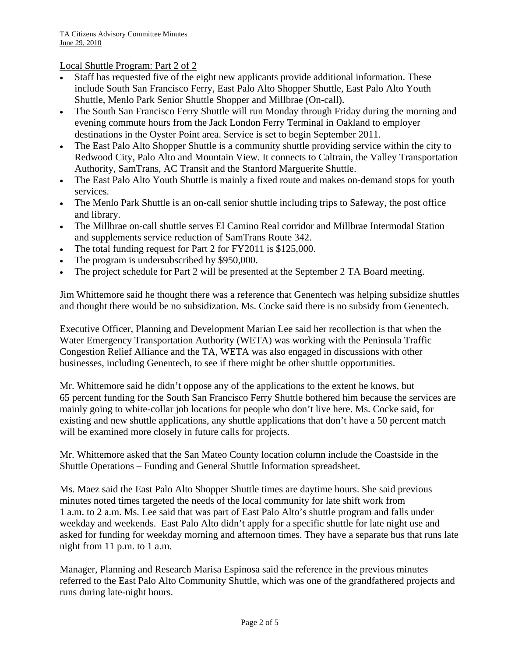Local Shuttle Program: Part 2 of 2

- Staff has requested five of the eight new applicants provide additional information. These include South San Francisco Ferry, East Palo Alto Shopper Shuttle, East Palo Alto Youth Shuttle, Menlo Park Senior Shuttle Shopper and Millbrae (On-call).
- The South San Francisco Ferry Shuttle will run Monday through Friday during the morning and evening commute hours from the Jack London Ferry Terminal in Oakland to employer destinations in the Oyster Point area. Service is set to begin September 2011.
- The East Palo Alto Shopper Shuttle is a community shuttle providing service within the city to Redwood City, Palo Alto and Mountain View. It connects to Caltrain, the Valley Transportation Authority, SamTrans, AC Transit and the Stanford Marguerite Shuttle.
- The East Palo Alto Youth Shuttle is mainly a fixed route and makes on-demand stops for youth services.
- The Menlo Park Shuttle is an on-call senior shuttle including trips to Safeway, the post office and library.
- The Millbrae on-call shuttle serves El Camino Real corridor and Millbrae Intermodal Station and supplements service reduction of SamTrans Route 342.
- The total funding request for Part 2 for FY2011 is \$125,000.
- The program is undersubscribed by \$950,000.
- The project schedule for Part 2 will be presented at the September 2 TA Board meeting.

Jim Whittemore said he thought there was a reference that Genentech was helping subsidize shuttles and thought there would be no subsidization. Ms. Cocke said there is no subsidy from Genentech.

Executive Officer, Planning and Development Marian Lee said her recollection is that when the Water Emergency Transportation Authority (WETA) was working with the Peninsula Traffic Congestion Relief Alliance and the TA, WETA was also engaged in discussions with other businesses, including Genentech, to see if there might be other shuttle opportunities.

Mr. Whittemore said he didn't oppose any of the applications to the extent he knows, but 65 percent funding for the South San Francisco Ferry Shuttle bothered him because the services are mainly going to white-collar job locations for people who don't live here. Ms. Cocke said, for existing and new shuttle applications, any shuttle applications that don't have a 50 percent match will be examined more closely in future calls for projects.

Mr. Whittemore asked that the San Mateo County location column include the Coastside in the Shuttle Operations – Funding and General Shuttle Information spreadsheet.

Ms. Maez said the East Palo Alto Shopper Shuttle times are daytime hours. She said previous minutes noted times targeted the needs of the local community for late shift work from 1 a.m. to 2 a.m. Ms. Lee said that was part of East Palo Alto's shuttle program and falls under weekday and weekends. East Palo Alto didn't apply for a specific shuttle for late night use and asked for funding for weekday morning and afternoon times. They have a separate bus that runs late night from 11 p.m. to 1 a.m.

Manager, Planning and Research Marisa Espinosa said the reference in the previous minutes referred to the East Palo Alto Community Shuttle, which was one of the grandfathered projects and runs during late-night hours.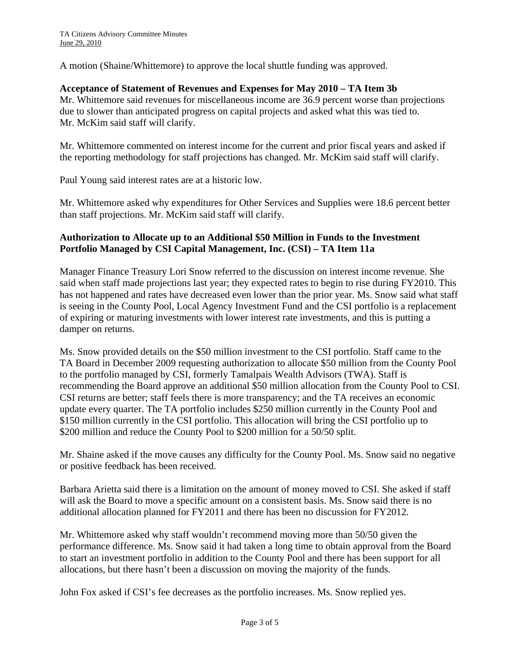A motion (Shaine/Whittemore) to approve the local shuttle funding was approved.

#### **Acceptance of Statement of Revenues and Expenses for May 2010 – TA Item 3b**

Mr. Whittemore said revenues for miscellaneous income are 36.9 percent worse than projections due to slower than anticipated progress on capital projects and asked what this was tied to. Mr. McKim said staff will clarify.

Mr. Whittemore commented on interest income for the current and prior fiscal years and asked if the reporting methodology for staff projections has changed. Mr. McKim said staff will clarify.

Paul Young said interest rates are at a historic low.

Mr. Whittemore asked why expenditures for Other Services and Supplies were 18.6 percent better than staff projections. Mr. McKim said staff will clarify.

### **Authorization to Allocate up to an Additional \$50 Million in Funds to the Investment Portfolio Managed by CSI Capital Management, Inc. (CSI) – TA Item 11a**

Manager Finance Treasury Lori Snow referred to the discussion on interest income revenue. She said when staff made projections last year; they expected rates to begin to rise during FY2010. This has not happened and rates have decreased even lower than the prior year. Ms. Snow said what staff is seeing in the County Pool, Local Agency Investment Fund and the CSI portfolio is a replacement of expiring or maturing investments with lower interest rate investments, and this is putting a damper on returns.

Ms. Snow provided details on the \$50 million investment to the CSI portfolio. Staff came to the TA Board in December 2009 requesting authorization to allocate \$50 million from the County Pool to the portfolio managed by CSI, formerly Tamalpais Wealth Advisors (TWA). Staff is recommending the Board approve an additional \$50 million allocation from the County Pool to CSI. CSI returns are better; staff feels there is more transparency; and the TA receives an economic update every quarter. The TA portfolio includes \$250 million currently in the County Pool and \$150 million currently in the CSI portfolio. This allocation will bring the CSI portfolio up to \$200 million and reduce the County Pool to \$200 million for a 50/50 split.

Mr. Shaine asked if the move causes any difficulty for the County Pool. Ms. Snow said no negative or positive feedback has been received.

Barbara Arietta said there is a limitation on the amount of money moved to CSI. She asked if staff will ask the Board to move a specific amount on a consistent basis. Ms. Snow said there is no additional allocation planned for FY2011 and there has been no discussion for FY2012.

Mr. Whittemore asked why staff wouldn't recommend moving more than 50/50 given the performance difference. Ms. Snow said it had taken a long time to obtain approval from the Board to start an investment portfolio in addition to the County Pool and there has been support for all allocations, but there hasn't been a discussion on moving the majority of the funds.

John Fox asked if CSI's fee decreases as the portfolio increases. Ms. Snow replied yes.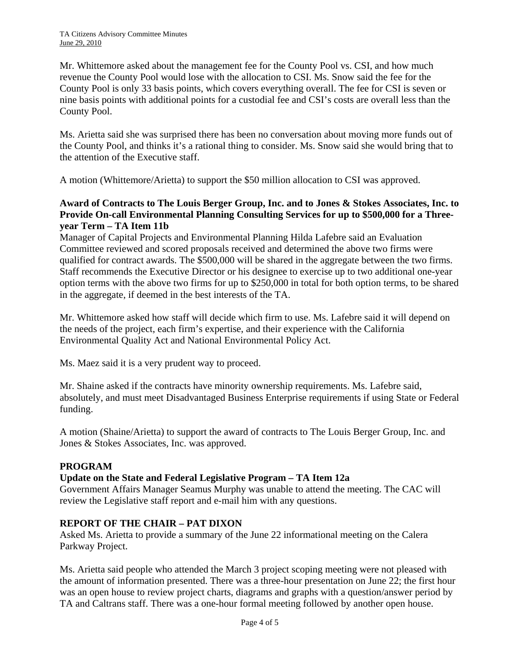Mr. Whittemore asked about the management fee for the County Pool vs. CSI, and how much revenue the County Pool would lose with the allocation to CSI. Ms. Snow said the fee for the County Pool is only 33 basis points, which covers everything overall. The fee for CSI is seven or nine basis points with additional points for a custodial fee and CSI's costs are overall less than the County Pool.

Ms. Arietta said she was surprised there has been no conversation about moving more funds out of the County Pool, and thinks it's a rational thing to consider. Ms. Snow said she would bring that to the attention of the Executive staff.

A motion (Whittemore/Arietta) to support the \$50 million allocation to CSI was approved.

### **Award of Contracts to The Louis Berger Group, Inc. and to Jones & Stokes Associates, Inc. to Provide On-call Environmental Planning Consulting Services for up to \$500,000 for a Threeyear Term – TA Item 11b**

Manager of Capital Projects and Environmental Planning Hilda Lafebre said an Evaluation Committee reviewed and scored proposals received and determined the above two firms were qualified for contract awards. The \$500,000 will be shared in the aggregate between the two firms. Staff recommends the Executive Director or his designee to exercise up to two additional one-year option terms with the above two firms for up to \$250,000 in total for both option terms, to be shared in the aggregate, if deemed in the best interests of the TA.

Mr. Whittemore asked how staff will decide which firm to use. Ms. Lafebre said it will depend on the needs of the project, each firm's expertise, and their experience with the California Environmental Quality Act and National Environmental Policy Act.

Ms. Maez said it is a very prudent way to proceed.

Mr. Shaine asked if the contracts have minority ownership requirements. Ms. Lafebre said, absolutely, and must meet Disadvantaged Business Enterprise requirements if using State or Federal funding.

A motion (Shaine/Arietta) to support the award of contracts to The Louis Berger Group, Inc. and Jones & Stokes Associates, Inc. was approved.

## **PROGRAM**

## **Update on the State and Federal Legislative Program – TA Item 12a**

Government Affairs Manager Seamus Murphy was unable to attend the meeting. The CAC will review the Legislative staff report and e-mail him with any questions.

#### **REPORT OF THE CHAIR – PAT DIXON**

Asked Ms. Arietta to provide a summary of the June 22 informational meeting on the Calera Parkway Project.

Ms. Arietta said people who attended the March 3 project scoping meeting were not pleased with the amount of information presented. There was a three-hour presentation on June 22; the first hour was an open house to review project charts, diagrams and graphs with a question/answer period by TA and Caltrans staff. There was a one-hour formal meeting followed by another open house.